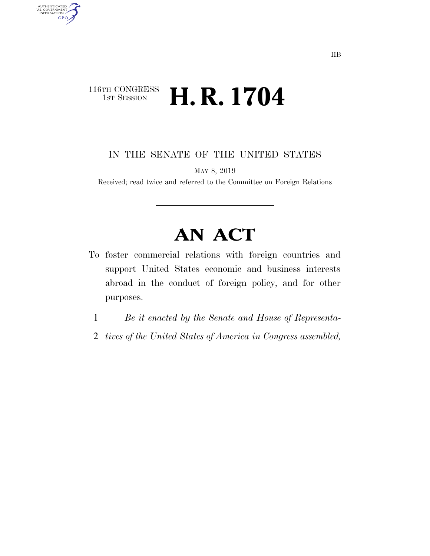### 116TH CONGRESS<br>1st Session **H. R. 1704**

AUTHENTICATED<br>U.S. GOVERNMENT<br>INFORMATION **GPO** 

IN THE SENATE OF THE UNITED STATES

MAY 8, 2019

Received; read twice and referred to the Committee on Foreign Relations

# **AN ACT**

- To foster commercial relations with foreign countries and support United States economic and business interests abroad in the conduct of foreign policy, and for other purposes.
	- 1 *Be it enacted by the Senate and House of Representa-*
	- 2 *tives of the United States of America in Congress assembled,*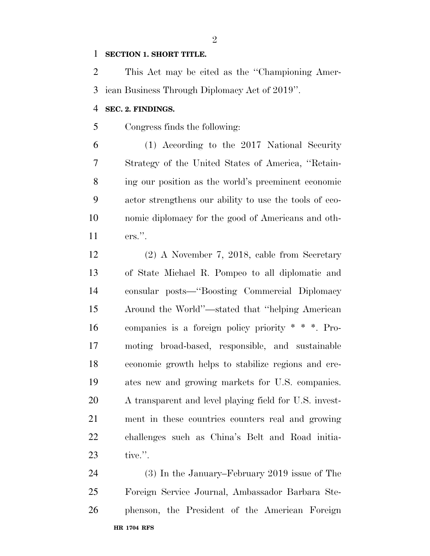#### **SECTION 1. SHORT TITLE.**

 This Act may be cited as the ''Championing Amer-ican Business Through Diplomacy Act of 2019''.

#### **SEC. 2. FINDINGS.**

Congress finds the following:

 (1) According to the 2017 National Security Strategy of the United States of America, ''Retain- ing our position as the world's preeminent economic actor strengthens our ability to use the tools of eco- nomic diplomacy for the good of Americans and oth-ers.''.

 (2) A November 7, 2018, cable from Secretary of State Michael R. Pompeo to all diplomatic and consular posts—''Boosting Commercial Diplomacy Around the World''—stated that ''helping American companies is a foreign policy priority \* \* \*. Pro- moting broad-based, responsible, and sustainable economic growth helps to stabilize regions and cre- ates new and growing markets for U.S. companies. A transparent and level playing field for U.S. invest- ment in these countries counters real and growing challenges such as China's Belt and Road initia-tive.''.

**HR 1704 RFS** (3) In the January–February 2019 issue of The Foreign Service Journal, Ambassador Barbara Ste-phenson, the President of the American Foreign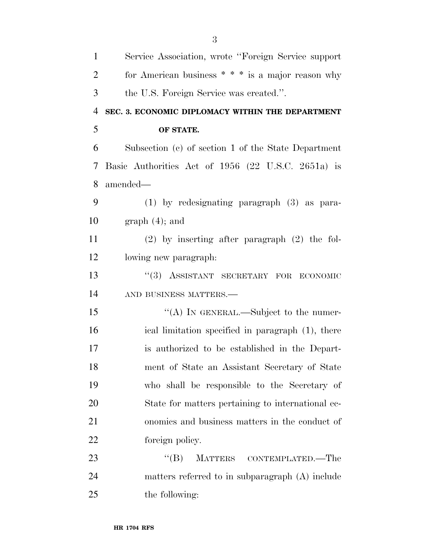| $\mathbf{1}$   | Service Association, wrote "Foreign Service support" |
|----------------|------------------------------------------------------|
| $\overline{2}$ | for American business $**$ is a major reason why     |
| 3              | the U.S. Foreign Service was created.".              |
| $\overline{4}$ | SEC. 3. ECONOMIC DIPLOMACY WITHIN THE DEPARTMENT     |
| 5              | OF STATE.                                            |
| 6              | Subsection (c) of section 1 of the State Department  |
| 7              | Basic Authorities Act of 1956 (22 U.S.C. 2651a) is   |
| 8              | amended-                                             |
| 9              | $(1)$ by redesignating paragraph $(3)$ as para-      |
| 10             | $graph(4)$ ; and                                     |
| 11             | $(2)$ by inserting after paragraph $(2)$ the fol-    |
| 12             | lowing new paragraph.                                |
| 13             | "(3) ASSISTANT SECRETARY FOR ECONOMIC                |
| 14             | AND BUSINESS MATTERS.-                               |
| 15             | "(A) IN GENERAL.—Subject to the numer-               |
| 16             | ical limitation specified in paragraph (1), there    |
| 17             | is authorized to be established in the Depart-       |
| 18             | ment of State an Assistant Secretary of State        |
| 19             | who shall be responsible to the Secretary of         |
| 20             | State for matters pertaining to international ec-    |
| 21             | onomics and business matters in the conduct of       |
| 22             | foreign policy.                                      |
| 23             | ``(B)<br>MATTERS CONTEMPLATED.—The                   |
| 24             | matters referred to in subparagraph (A) include      |
| 25             | the following:                                       |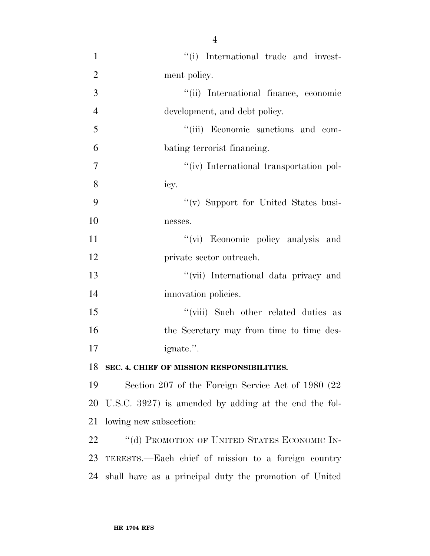$\frac{1}{1}$  '(i) International trade and invest- ment policy. ''(ii) International finance, economic development, and debt policy. ''(iii) Economic sanctions and com- bating terrorist financing.  $''(iv)$  International transportation pol- icy. 9 "(v) Support for United States busi- nesses. 11 ''(vi) Economic policy analysis and private sector outreach. ''(vii) International data privacy and 14 innovation policies. 15 ''(viii) Such other related duties as 16 the Secretary may from time to time des- ignate.''. **SEC. 4. CHIEF OF MISSION RESPONSIBILITIES.** 

 Section 207 of the Foreign Service Act of 1980 (22 U.S.C. 3927) is amended by adding at the end the fol-lowing new subsection:

22 "(d) PROMOTION OF UNITED STATES ECONOMIC IN- TERESTS.—Each chief of mission to a foreign country shall have as a principal duty the promotion of United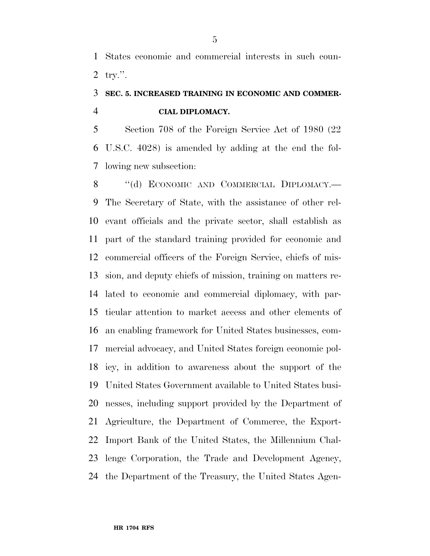States economic and commercial interests in such coun-try.''.

### **SEC. 5. INCREASED TRAINING IN ECONOMIC AND COMMER-CIAL DIPLOMACY.**

 Section 708 of the Foreign Service Act of 1980 (22 U.S.C. 4028) is amended by adding at the end the fol-lowing new subsection:

8 "(d) ECONOMIC AND COMMERCIAL DIPLOMACY.— The Secretary of State, with the assistance of other rel- evant officials and the private sector, shall establish as part of the standard training provided for economic and commercial officers of the Foreign Service, chiefs of mis- sion, and deputy chiefs of mission, training on matters re- lated to economic and commercial diplomacy, with par- ticular attention to market access and other elements of an enabling framework for United States businesses, com- mercial advocacy, and United States foreign economic pol- icy, in addition to awareness about the support of the United States Government available to United States busi- nesses, including support provided by the Department of Agriculture, the Department of Commerce, the Export- Import Bank of the United States, the Millennium Chal- lenge Corporation, the Trade and Development Agency, the Department of the Treasury, the United States Agen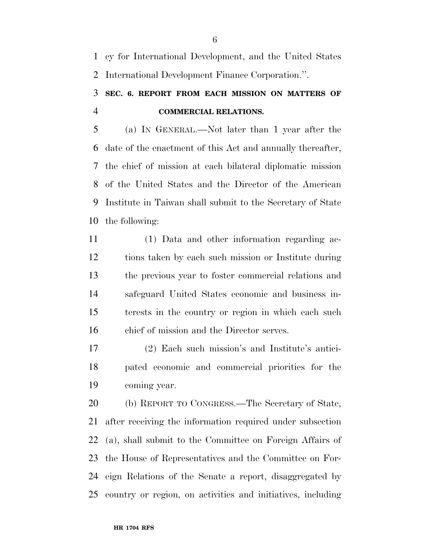cy for International Development, and the United States International Development Finance Corporation.''.

## **SEC. 6. REPORT FROM EACH MISSION ON MATTERS OF COMMERCIAL RELATIONS.**

 (a) IN GENERAL.—Not later than 1 year after the date of the enactment of this Act and annually thereafter, the chief of mission at each bilateral diplomatic mission of the United States and the Director of the American Institute in Taiwan shall submit to the Secretary of State the following:

 (1) Data and other information regarding ac- tions taken by each such mission or Institute during the previous year to foster commercial relations and safeguard United States economic and business in- terests in the country or region in which each such chief of mission and the Director serves.

 (2) Each such mission's and Institute's antici- pated economic and commercial priorities for the coming year.

 (b) REPORT TO CONGRESS.—The Secretary of State, after receiving the information required under subsection (a), shall submit to the Committee on Foreign Affairs of the House of Representatives and the Committee on For- eign Relations of the Senate a report, disaggregated by country or region, on activities and initiatives, including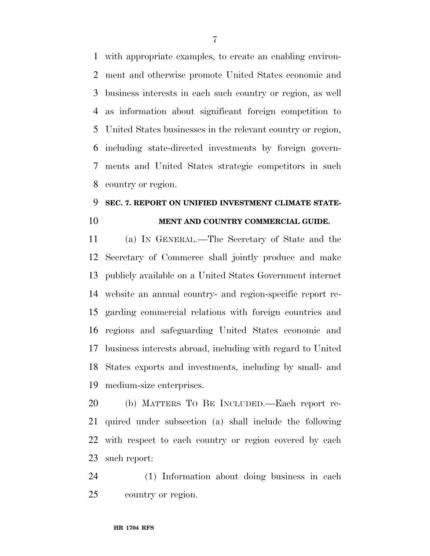with appropriate examples, to create an enabling environ- ment and otherwise promote United States economic and business interests in each such country or region, as well as information about significant foreign competition to United States businesses in the relevant country or region, including state-directed investments by foreign govern- ments and United States strategic competitors in such country or region.

### **SEC. 7. REPORT ON UNIFIED INVESTMENT CLIMATE STATE-MENT AND COUNTRY COMMERCIAL GUIDE.**

 (a) IN GENERAL.—The Secretary of State and the Secretary of Commerce shall jointly produce and make publicly available on a United States Government internet website an annual country- and region-specific report re- garding commercial relations with foreign countries and regions and safeguarding United States economic and business interests abroad, including with regard to United States exports and investments, including by small- and medium-size enterprises.

 (b) MATTERS TO BE INCLUDED.—Each report re- quired under subsection (a) shall include the following with respect to each country or region covered by each such report:

 (1) Information about doing business in each country or region.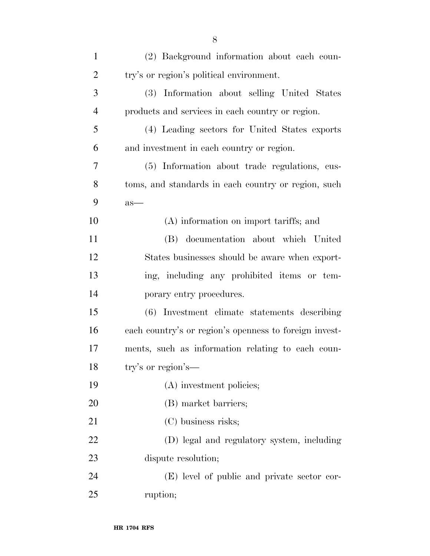| $\mathbf{1}$   | (2) Background information about each coun-            |
|----------------|--------------------------------------------------------|
| $\overline{2}$ | try's or region's political environment.               |
| 3              | (3) Information about selling United States            |
| $\overline{4}$ | products and services in each country or region.       |
| 5              | (4) Leading sectors for United States exports          |
| 6              | and investment in each country or region.              |
| 7              | (5) Information about trade regulations, cus-          |
| 8              | toms, and standards in each country or region, such    |
| 9              | $as-$                                                  |
| 10             | (A) information on import tariffs; and                 |
| 11             | (B) documentation about which United                   |
| 12             | States businesses should be aware when export-         |
| 13             | ing, including any prohibited items or tem-            |
| 14             | porary entry procedures.                               |
| 15             | (6) Investment climate statements describing           |
| 16             | each country's or region's openness to foreign invest- |
| 17             | ments, such as information relating to each coun-      |
| 18             | try's or region's-                                     |
| 19             | (A) investment policies;                               |
| 20             | (B) market barriers;                                   |
| 21             | (C) business risks;                                    |
| 22             | (D) legal and regulatory system, including             |
| 23             | dispute resolution;                                    |
| 24             | (E) level of public and private sector cor-            |
| 25             | ruption;                                               |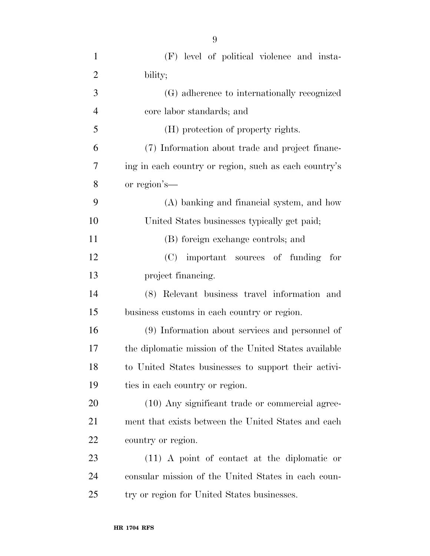| $\mathbf{1}$   | (F) level of political violence and insta-            |
|----------------|-------------------------------------------------------|
| $\overline{2}$ | bility;                                               |
| 3              | (G) adherence to internationally recognized           |
| $\overline{4}$ | core labor standards; and                             |
| 5              | (H) protection of property rights.                    |
| 6              | (7) Information about trade and project financ-       |
| 7              | ing in each country or region, such as each country's |
| 8              | or region's—                                          |
| 9              | (A) banking and financial system, and how             |
| 10             | United States businesses typically get paid;          |
| 11             | (B) foreign exchange controls; and                    |
| 12             | (C) important sources of funding<br>for               |
| 13             | project financing.                                    |
| 14             | (8) Relevant business travel information and          |
| 15             | business customs in each country or region.           |
| 16             | (9) Information about services and personnel of       |
| 17             | the diplomatic mission of the United States available |
| 18             | to United States businesses to support their activi-  |
| 19             | ties in each country or region.                       |
| 20             | (10) Any significant trade or commercial agree-       |
| 21             | ment that exists between the United States and each   |
| 22             | country or region.                                    |
| 23             | $(11)$ A point of contact at the diplomatic or        |
| 24             | consular mission of the United States in each coun-   |
| 25             | try or region for United States businesses.           |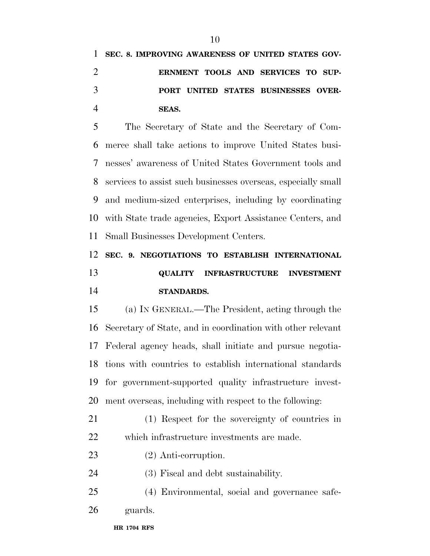**SEC. 8. IMPROVING AWARENESS OF UNITED STATES GOV- ERNMENT TOOLS AND SERVICES TO SUP- PORT UNITED STATES BUSINESSES OVER-SEAS.** 

 The Secretary of State and the Secretary of Com- merce shall take actions to improve United States busi- nesses' awareness of United States Government tools and services to assist such businesses overseas, especially small and medium-sized enterprises, including by coordinating with State trade agencies, Export Assistance Centers, and Small Businesses Development Centers.

 **SEC. 9. NEGOTIATIONS TO ESTABLISH INTERNATIONAL QUALITY INFRASTRUCTURE INVESTMENT STANDARDS.** 

 (a) IN GENERAL.—The President, acting through the Secretary of State, and in coordination with other relevant Federal agency heads, shall initiate and pursue negotia- tions with countries to establish international standards for government-supported quality infrastructure invest-ment overseas, including with respect to the following:

 (1) Respect for the sovereignty of countries in which infrastructure investments are made.

- (2) Anti-corruption.
- (3) Fiscal and debt sustainability.
- (4) Environmental, social and governance safe-guards.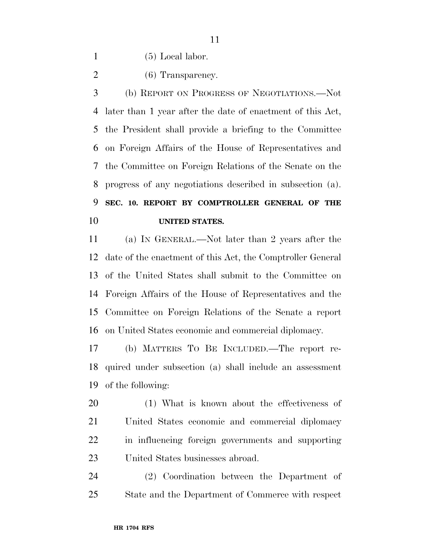(5) Local labor.

2 (6) Transparency.

 (b) REPORT ON PROGRESS OF NEGOTIATIONS.—Not later than 1 year after the date of enactment of this Act, the President shall provide a briefing to the Committee on Foreign Affairs of the House of Representatives and the Committee on Foreign Relations of the Senate on the progress of any negotiations described in subsection (a). **SEC. 10. REPORT BY COMPTROLLER GENERAL OF THE UNITED STATES.** 

 (a) IN GENERAL.—Not later than 2 years after the date of the enactment of this Act, the Comptroller General of the United States shall submit to the Committee on Foreign Affairs of the House of Representatives and the Committee on Foreign Relations of the Senate a report on United States economic and commercial diplomacy.

 (b) MATTERS TO BE INCLUDED.—The report re- quired under subsection (a) shall include an assessment of the following:

 (1) What is known about the effectiveness of United States economic and commercial diplomacy in influencing foreign governments and supporting United States businesses abroad.

 (2) Coordination between the Department of State and the Department of Commerce with respect